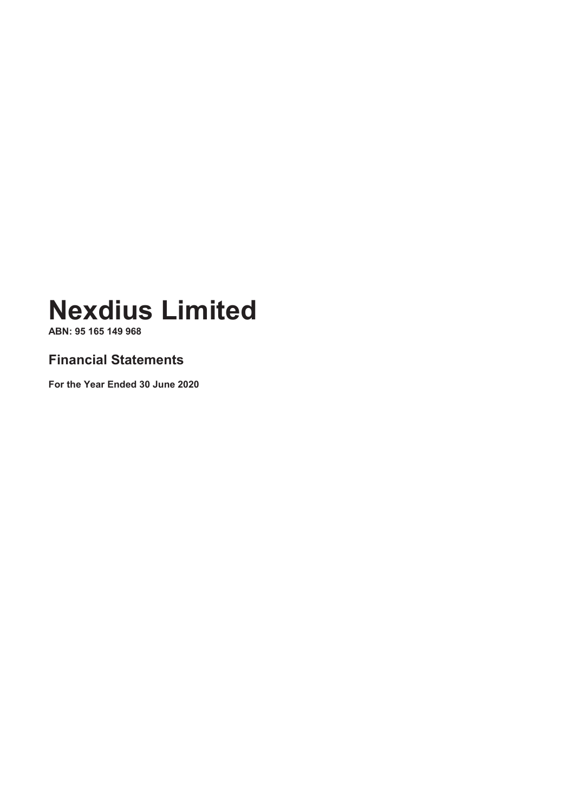**ABN: 95 165 149 968**

### **Financial Statements**

**For the Year Ended 30 June 2020**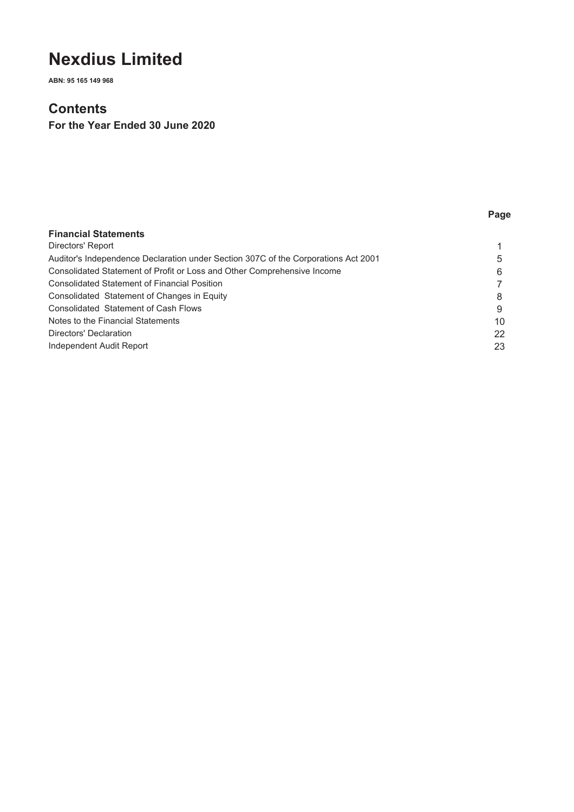**ABN: 95 165 149 968**

### **Contents**

**For the Year Ended 30 June 2020**

### **Page**

| <b>Financial Statements</b>                                                        |    |
|------------------------------------------------------------------------------------|----|
| Directors' Report                                                                  |    |
| Auditor's Independence Declaration under Section 307C of the Corporations Act 2001 | 5  |
| Consolidated Statement of Profit or Loss and Other Comprehensive Income            | 6  |
| <b>Consolidated Statement of Financial Position</b>                                |    |
| Consolidated Statement of Changes in Equity                                        | 8  |
| Consolidated Statement of Cash Flows                                               | 9  |
| Notes to the Financial Statements                                                  | 10 |
| Directors' Declaration                                                             | 22 |
| Independent Audit Report                                                           | 23 |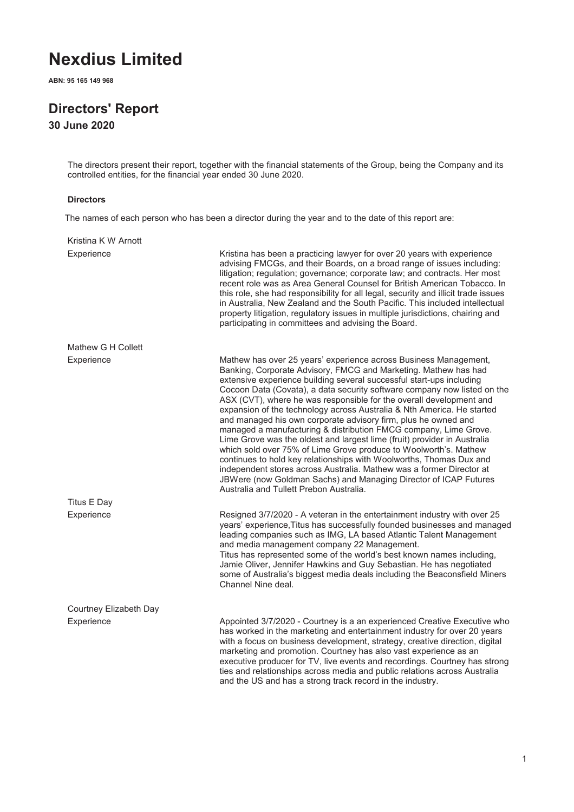**ABN: 95 165 149 968**

## **Directors' Report**

**30 June 2020**

The directors present their report, together with the financial statements of the Group, being the Company and its controlled entities, for the financial year ended 30 June 2020.

#### **Directors**

The names of each person who has been a director during the year and to the date of this report are:

| Kristina K W Arnott    |                                                                                                                                                                                                                                                                                                                                                                                                                                                                                                                                                                                                                                                                                                                                                                                                                                                                                                                                                                                              |
|------------------------|----------------------------------------------------------------------------------------------------------------------------------------------------------------------------------------------------------------------------------------------------------------------------------------------------------------------------------------------------------------------------------------------------------------------------------------------------------------------------------------------------------------------------------------------------------------------------------------------------------------------------------------------------------------------------------------------------------------------------------------------------------------------------------------------------------------------------------------------------------------------------------------------------------------------------------------------------------------------------------------------|
| Experience             | Kristina has been a practicing lawyer for over 20 years with experience<br>advising FMCGs, and their Boards, on a broad range of issues including:<br>litigation; regulation; governance; corporate law; and contracts. Her most<br>recent role was as Area General Counsel for British American Tobacco. In<br>this role, she had responsibility for all legal, security and illicit trade issues<br>in Australia, New Zealand and the South Pacific. This included intellectual<br>property litigation, regulatory issues in multiple jurisdictions, chairing and<br>participating in committees and advising the Board.                                                                                                                                                                                                                                                                                                                                                                   |
| Mathew G H Collett     |                                                                                                                                                                                                                                                                                                                                                                                                                                                                                                                                                                                                                                                                                                                                                                                                                                                                                                                                                                                              |
| Experience             | Mathew has over 25 years' experience across Business Management,<br>Banking, Corporate Advisory, FMCG and Marketing. Mathew has had<br>extensive experience building several successful start-ups including<br>Cocoon Data (Covata), a data security software company now listed on the<br>ASX (CVT), where he was responsible for the overall development and<br>expansion of the technology across Australia & Nth America. He started<br>and managed his own corporate advisory firm, plus he owned and<br>managed a manufacturing & distribution FMCG company, Lime Grove.<br>Lime Grove was the oldest and largest lime (fruit) provider in Australia<br>which sold over 75% of Lime Grove produce to Woolworth's. Mathew<br>continues to hold key relationships with Woolworths, Thomas Dux and<br>independent stores across Australia. Mathew was a former Director at<br>JBWere (now Goldman Sachs) and Managing Director of ICAP Futures<br>Australia and Tullett Prebon Australia. |
| Titus E Day            |                                                                                                                                                                                                                                                                                                                                                                                                                                                                                                                                                                                                                                                                                                                                                                                                                                                                                                                                                                                              |
| Experience             | Resigned 3/7/2020 - A veteran in the entertainment industry with over 25<br>years' experience, Titus has successfully founded businesses and managed<br>leading companies such as IMG, LA based Atlantic Talent Management<br>and media management company 22 Management.<br>Titus has represented some of the world's best known names including,<br>Jamie Oliver, Jennifer Hawkins and Guy Sebastian. He has negotiated<br>some of Australia's biggest media deals including the Beaconsfield Miners<br>Channel Nine deal.                                                                                                                                                                                                                                                                                                                                                                                                                                                                 |
| Courtney Elizabeth Day |                                                                                                                                                                                                                                                                                                                                                                                                                                                                                                                                                                                                                                                                                                                                                                                                                                                                                                                                                                                              |
| Experience             | Appointed 3/7/2020 - Courtney is a an experienced Creative Executive who<br>has worked in the marketing and entertainment industry for over 20 years<br>with a focus on business development, strategy, creative direction, digital<br>marketing and promotion. Courtney has also vast experience as an<br>executive producer for TV, live events and recordings. Courtney has strong<br>ties and relationships across media and public relations across Australia                                                                                                                                                                                                                                                                                                                                                                                                                                                                                                                           |

and the US and has a strong track record in the industry.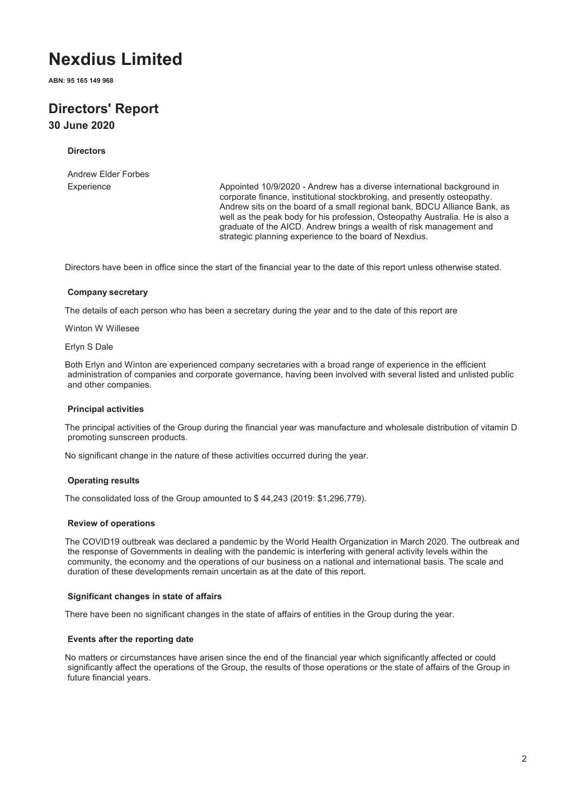**ABN: 95 165 149 968**

### **Directors' Report 30 June 2020**

#### **Directors**

Andrew Elder Forbes

Experience Appointed 10/9/2020 - Andrew has a diverse international background in corporate finance, institutional stockbroking, and presently osteopathy. Andrew sits on the board of a small regional bank, BDCU Alliance Bank, as well as the peak body for his profession, Osteopathy Australia. He is also a graduate of the AICD. Andrew brings a wealth of risk management and strategic planning experience to the board of Nexdius.

Directors have been in office since the start of the financial year to the date of this report unless otherwise stated.

#### **Company secretary**

The details of each person who has been a secretary during the year and to the date of this report are

Winton W Willesee

Erlyn S Dale

Both Erlyn and Winton are experienced company secretaries with a broad range of experience in the efficient administration of companies and corporate governance, having been involved with several listed and unlisted public and other companies.

#### **Principal activities**

The principal activities of the Group during the financial year was manufacture and wholesale distribution of vitamin D promoting sunscreen products.

No significant change in the nature of these activities occurred during the year.

#### **Operating results**

The consolidated loss of the Group amounted to \$ 44,243 (2019: \$1,296,779).

#### **Review of operations**

The COVID19 outbreak was declared a pandemic by the World Health Organization in March 2020. The outbreak and the response of Governments in dealing with the pandemic is interfering with general activity levels within the community, the economy and the operations of our business on a national and international basis. The scale and duration of these developments remain uncertain as at the date of this report.

#### **Significant changes in state of affairs**

There have been no significant changes in the state of affairs of entities in the Group during the year.

#### **Events after the reporting date**

No matters or circumstances have arisen since the end of the financial year which significantly affected or could significantly affect the operations of the Group, the results of those operations or the state of affairs of the Group in future financial years.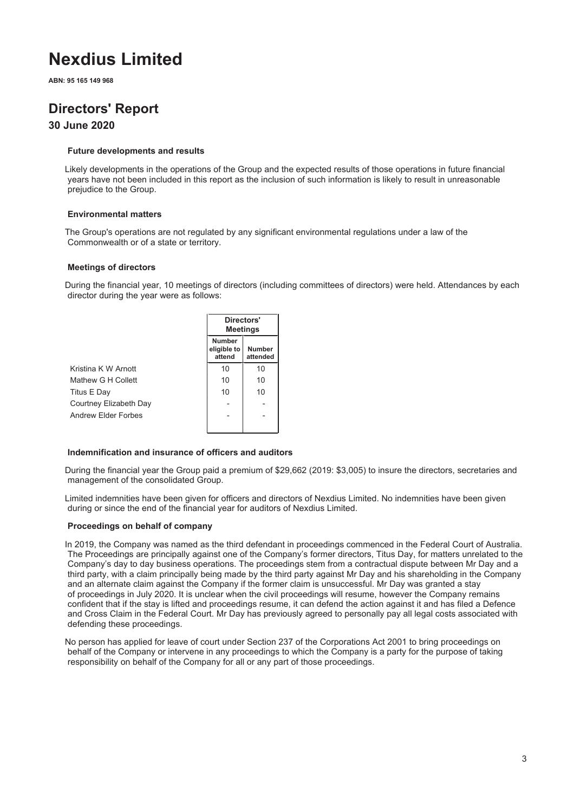**ABN: 95 165 149 968**

## **Directors' Report**

### **30 June 2020**

#### **Future developments and results**

Likely developments in the operations of the Group and the expected results of those operations in future financial years have not been included in this report as the inclusion of such information is likely to result in unreasonable prejudice to the Group.

#### **Environmental matters**

The Group's operations are not regulated by any significant environmental regulations under a law of the Commonwealth or of a state or territory.

#### **Meetings of directors**

During the financial year, 10 meetings of directors (including committees of directors) were held. Attendances by each director during the year were as follows:

|                        | Directors'<br><b>Meetings</b>          |                           |  |
|------------------------|----------------------------------------|---------------------------|--|
|                        | <b>Number</b><br>eligible to<br>attend | <b>Number</b><br>attended |  |
| Kristina K W Arnott    | 10                                     | 10                        |  |
| Mathew G H Collett     | 10                                     | 10                        |  |
| Titus E Day            | 10                                     | 10                        |  |
| Courtney Elizabeth Day |                                        |                           |  |
| Andrew Flder Forbes    |                                        |                           |  |

#### **Indemnification and insurance of officers and auditors**

During the financial year the Group paid a premium of \$29,662 (2019: \$3,005) to insure the directors, secretaries and management of the consolidated Group.

Limited indemnities have been given for officers and directors of Nexdius Limited. No indemnities have been given during or since the end of the financial year for auditors of Nexdius Limited.

#### **Proceedings on behalf of company**

In 2019, the Company was named as the third defendant in proceedings commenced in the Federal Court of Australia. The Proceedings are principally against one of the Company's former directors, Titus Day, for matters unrelated to the Company's day to day business operations. The proceedings stem from a contractual dispute between Mr Day and a third party, with a claim principally being made by the third party against Mr Day and his shareholding in the Company and an alternate claim against the Company if the former claim is unsuccessful. Mr Day was granted a stay of proceedings in July 2020. It is unclear when the civil proceedings will resume, however the Company remains confident that if the stay is lifted and proceedings resume, it can defend the action against it and has filed a Defence and Cross Claim in the Federal Court. Mr Day has previously agreed to personally pay all legal costs associated with defending these proceedings.

No person has applied for leave of court under Section 237 of the Corporations Act 2001 to bring proceedings on behalf of the Company or intervene in any proceedings to which the Company is a party for the purpose of taking responsibility on behalf of the Company for all or any part of those proceedings.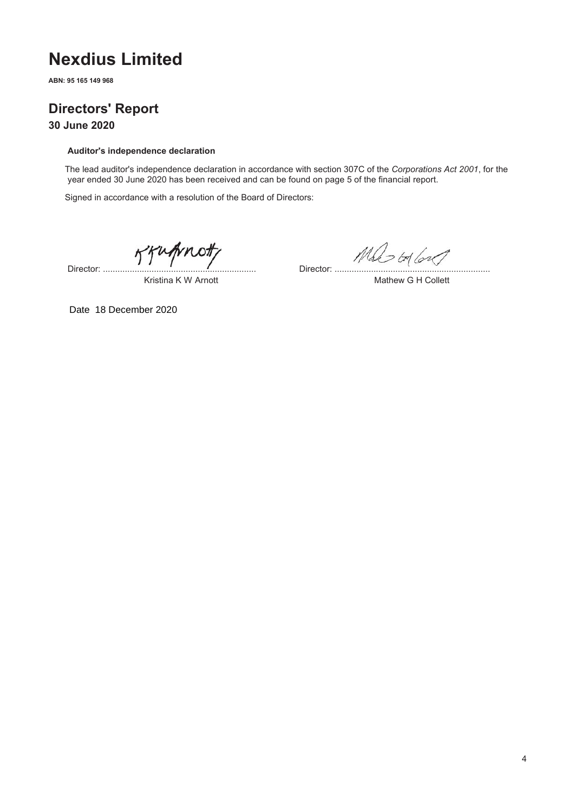**ABN: 95 165 149 968**

## **Directors' Report**

**30 June 2020**

#### **Auditor's independence declaration**

The lead auditor's independence declaration in accordance with section 307C of the *Corporations Act 2001*, for the year ended 30 June 2020 has been received and can be found on page 5 of the financial report.

Signed in accordance with a resolution of the Board of Directors:

Jengmoth Director: ...............................................................

 $Mds$   $\omega$ 

Mathew G H Collett

Kristina K W Arnott

Date 18 December 2020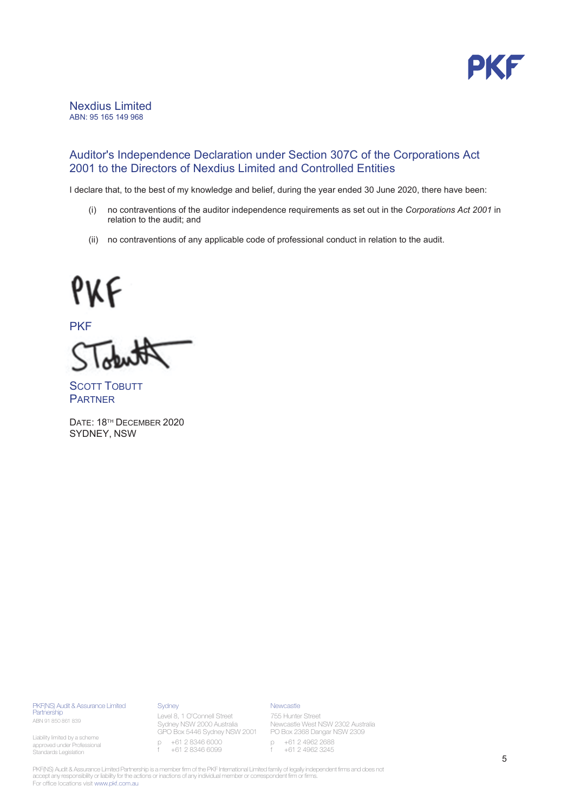

#### Nexdius Limited ABN: 95 165 149 968

### Auditor's Independence Declaration under Section 307C of the Corporations Act 2001 to the Directors of Nexdius Limited and Controlled Entities

I declare that, to the best of my knowledge and belief, during the year ended 30 June 2020, there have been:

- (i) no contraventions of the auditor independence requirements as set out in the Corporations Act 2001 in relation to the audit: and
- (ii) no contraventions of any applicable code of professional conduct in relation to the audit.

# PKF

**PKF** 

**SCOTT TOBUTT PARTNER** 

DATE: 18<sup>TH</sup> DECEMBER 2020 SYDNEY, NSW

PKF(NS) Audit & Assurance Limited Partnership ABN 91 850 861 839

Liability limited by a scheme approved under Professional Standards Legislation

**Sydney** 

**Newcastle** 

Level 8, 1 O'Connell Street Sydney NSW 2000 Australia p +61 2 8346 6000 f +61 2 8346 6099

GPO Box 5446 Sydney NSW 2001 PO Box 2368 Dangar NSW 2309 755 Hunter Street Newcastle West NSW 2302 Australia

p +61 2 4962 2688 f +61 2 4962 3245

PKF(NS) Audit & Assurance Limited Partnership is a member firm of the PKF International Limited family of legally independent firms and does not accept any responsibility or liability for the actions or inactions of any individual member or correspondent firm or firms. For office locations visit www.pkf.com.au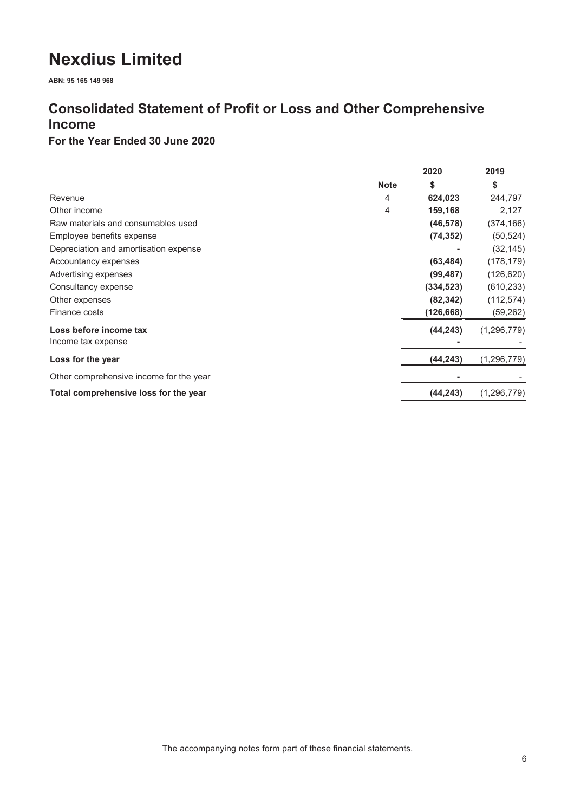**ABN: 95 165 149 968**

### **Consolidated Statement of Profit or Loss and Other Comprehensive Income**

### **For the Year Ended 30 June 2020**

|                                         |             | 2020       | 2019          |
|-----------------------------------------|-------------|------------|---------------|
|                                         | <b>Note</b> | \$         | \$            |
| Revenue                                 | 4           | 624,023    | 244,797       |
| Other income                            | 4           | 159,168    | 2,127         |
| Raw materials and consumables used      |             | (46, 578)  | (374, 166)    |
| Employee benefits expense               |             | (74, 352)  | (50, 524)     |
| Depreciation and amortisation expense   |             |            | (32, 145)     |
| Accountancy expenses                    |             | (63, 484)  | (178, 179)    |
| Advertising expenses                    |             | (99, 487)  | (126, 620)    |
| Consultancy expense                     |             | (334, 523) | (610, 233)    |
| Other expenses                          |             | (82, 342)  | (112, 574)    |
| Finance costs                           |             | (126, 668) | (59, 262)     |
| Loss before income tax                  |             | (44, 243)  | (1, 296, 779) |
| Income tax expense                      |             |            |               |
| Loss for the year                       |             | (44,243)   | (1, 296, 779) |
| Other comprehensive income for the year |             |            |               |
| Total comprehensive loss for the year   |             | (44,243)   | (1, 296, 779) |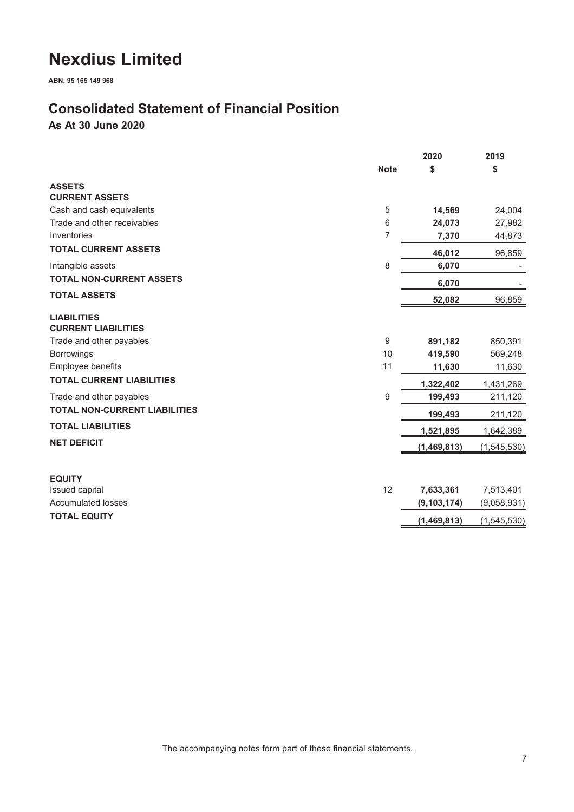**ABN: 95 165 149 968**

### **Consolidated Statement of Financial Position**

**As At 30 June 2020**

|                                                  |             | 2020          | 2019        |
|--------------------------------------------------|-------------|---------------|-------------|
|                                                  | <b>Note</b> | \$            | \$          |
| <b>ASSETS</b>                                    |             |               |             |
| <b>CURRENT ASSETS</b>                            |             |               |             |
| Cash and cash equivalents                        | 5           | 14,569        | 24,004      |
| Trade and other receivables                      | 6           | 24,073        | 27,982      |
| Inventories                                      | 7           | 7,370         | 44,873      |
| <b>TOTAL CURRENT ASSETS</b>                      |             | 46,012        | 96,859      |
| Intangible assets                                | 8           | 6,070         |             |
| <b>TOTAL NON-CURRENT ASSETS</b>                  |             | 6,070         |             |
| <b>TOTAL ASSETS</b>                              |             | 52,082        | 96,859      |
| <b>LIABILITIES</b><br><b>CURRENT LIABILITIES</b> |             |               |             |
| Trade and other payables                         | 9           | 891,182       | 850,391     |
| <b>Borrowings</b>                                | 10          | 419,590       | 569,248     |
| Employee benefits                                | 11          | 11,630        | 11,630      |
| <b>TOTAL CURRENT LIABILITIES</b>                 |             | 1,322,402     | 1,431,269   |
| Trade and other payables                         | 9           | 199,493       | 211,120     |
| <b>TOTAL NON-CURRENT LIABILITIES</b>             |             | 199,493       | 211,120     |
| <b>TOTAL LIABILITIES</b>                         |             | 1,521,895     | 1,642,389   |
| <b>NET DEFICIT</b>                               |             | (1,469,813)   | (1,545,530) |
|                                                  |             |               |             |
| <b>EQUITY</b><br>Issued capital                  | 12          | 7,633,361     | 7,513,401   |
| <b>Accumulated losses</b>                        |             | (9, 103, 174) | (9,058,931) |
| <b>TOTAL EQUITY</b>                              |             | (1,469,813)   | (1,545,530) |
|                                                  |             |               |             |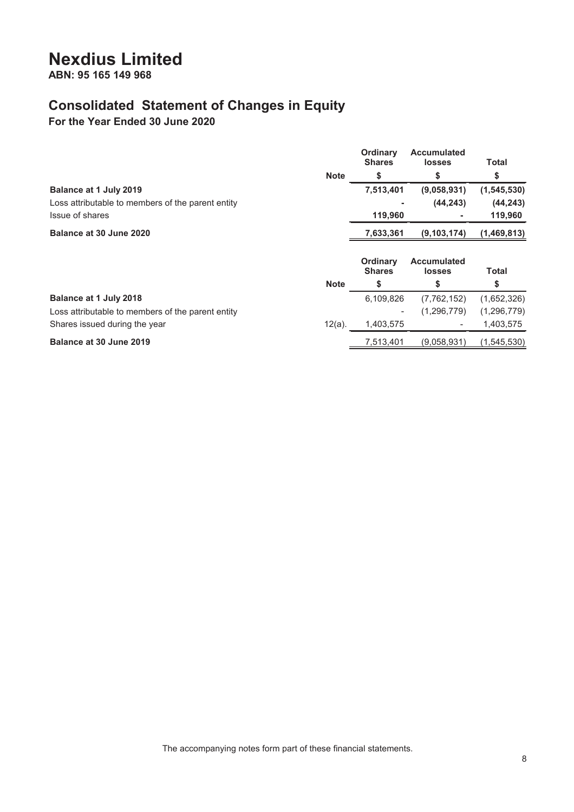**ABN: 95 165 149 968**

### **Consolidated Statement of Changes in Equity**

**For the Year Ended 30 June 2020**

|                                                   |             | <b>Ordinary</b><br><b>Shares</b> | <b>Accumulated</b><br><b>losses</b> | <b>Total</b>  |
|---------------------------------------------------|-------------|----------------------------------|-------------------------------------|---------------|
|                                                   | <b>Note</b> | S                                | \$                                  | \$            |
| Balance at 1 July 2019                            |             | 7,513,401                        | (9,058,931)                         | (1, 545, 530) |
| Loss attributable to members of the parent entity |             |                                  | (44, 243)                           | (44, 243)     |
| Issue of shares                                   |             | 119,960                          |                                     | 119,960       |
| Balance at 30 June 2020                           |             | 7,633,361                        | (9, 103, 174)                       | (1,469,813)   |
|                                                   |             | Ordinary<br><b>Shares</b>        | <b>Accumulated</b><br>losses        | Total         |
|                                                   | <b>Note</b> | \$                               | \$                                  | \$            |
|                                                   |             |                                  |                                     |               |
| Balance at 1 July 2018                            |             | 6,109,826                        | (7, 762, 152)                       | (1,652,326)   |
| Loss attributable to members of the parent entity |             |                                  | (1,296,779)                         | (1, 296, 779) |
| Shares issued during the year                     | $12(a)$ .   | 1,403,575                        | $\overline{\phantom{a}}$            | 1,403,575     |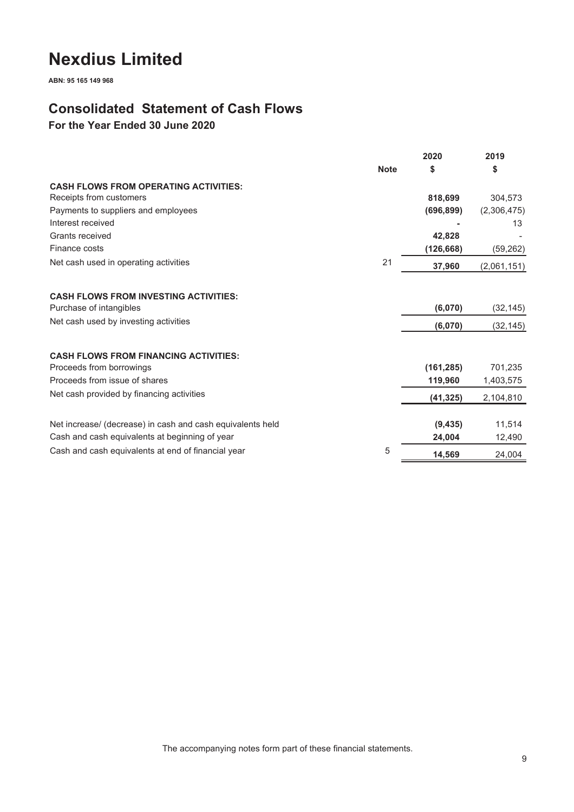**ABN: 95 165 149 968**

### **Consolidated Statement of Cash Flows**

**For the Year Ended 30 June 2020**

|                                                            | <b>Note</b> | 2020       | 2019        |
|------------------------------------------------------------|-------------|------------|-------------|
|                                                            |             | \$         | \$          |
| <b>CASH FLOWS FROM OPERATING ACTIVITIES:</b>               |             |            |             |
| Receipts from customers                                    |             | 818,699    | 304.573     |
| Payments to suppliers and employees                        |             | (696, 899) | (2,306,475) |
| Interest received                                          |             |            | 13          |
| Grants received                                            |             | 42,828     |             |
| Finance costs                                              |             | (126, 668) | (59, 262)   |
| Net cash used in operating activities                      | 21          | 37,960     | (2,061,151) |
|                                                            |             |            |             |
| <b>CASH FLOWS FROM INVESTING ACTIVITIES:</b>               |             |            |             |
| Purchase of intangibles                                    |             | (6,070)    | (32, 145)   |
| Net cash used by investing activities                      |             | (6,070)    | (32, 145)   |
|                                                            |             |            |             |
| <b>CASH FLOWS FROM FINANCING ACTIVITIES:</b>               |             |            |             |
| Proceeds from borrowings                                   |             | (161, 285) | 701,235     |
| Proceeds from issue of shares                              |             | 119,960    | 1,403,575   |
| Net cash provided by financing activities                  |             | (41, 325)  | 2,104,810   |
|                                                            |             |            |             |
| Net increase/ (decrease) in cash and cash equivalents held |             | (9, 435)   | 11,514      |
| Cash and cash equivalents at beginning of year             |             | 24,004     | 12,490      |
| Cash and cash equivalents at end of financial year         | 5           | 14,569     | 24,004      |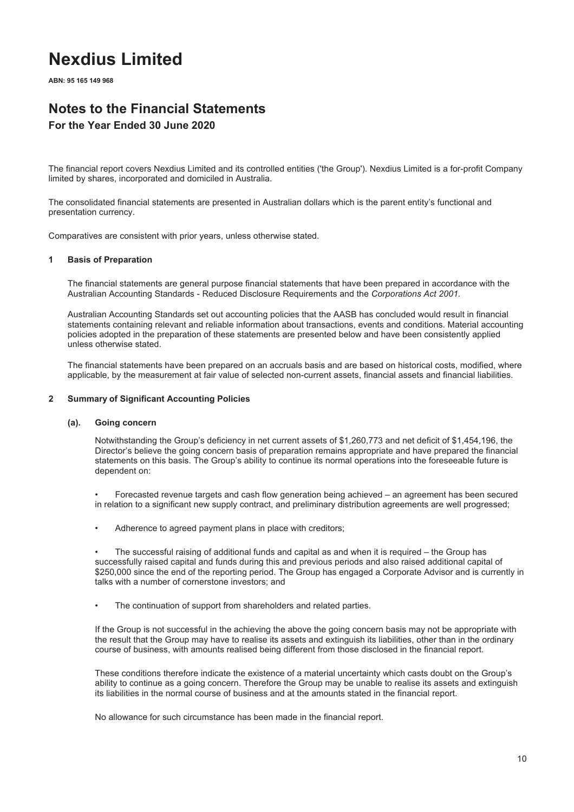**ABN: 95 165 149 968**

## **Notes to the Financial Statements**

### **For the Year Ended 30 June 2020**

The financial report covers Nexdius Limited and its controlled entities ('the Group'). Nexdius Limited is a for-profit Company limited by shares, incorporated and domiciled in Australia.

The consolidated financial statements are presented in Australian dollars which is the parent entity's functional and presentation currency.

Comparatives are consistent with prior years, unless otherwise stated.

#### **1 Basis of Preparation**

The financial statements are general purpose financial statements that have been prepared in accordance with the Australian Accounting Standards - Reduced Disclosure Requirements and the *Corporations Act 2001.*

Australian Accounting Standards set out accounting policies that the AASB has concluded would result in financial statements containing relevant and reliable information about transactions, events and conditions. Material accounting policies adopted in the preparation of these statements are presented below and have been consistently applied unless otherwise stated.

The financial statements have been prepared on an accruals basis and are based on historical costs, modified, where applicable, by the measurement at fair value of selected non-current assets, financial assets and financial liabilities.

#### **2 Summary of Significant Accounting Policies**

#### **(a). Going concern**

Notwithstanding the Group's deficiency in net current assets of \$1,260,773 and net deficit of \$1,454,196, the Director's believe the going concern basis of preparation remains appropriate and have prepared the financial statements on this basis. The Group's ability to continue its normal operations into the foreseeable future is dependent on:

• Forecasted revenue targets and cash flow generation being achieved – an agreement has been secured in relation to a significant new supply contract, and preliminary distribution agreements are well progressed;

Adherence to agreed payment plans in place with creditors;

• The successful raising of additional funds and capital as and when it is required – the Group has successfully raised capital and funds during this and previous periods and also raised additional capital of \$250,000 since the end of the reporting period. The Group has engaged a Corporate Advisor and is currently in talks with a number of cornerstone investors; and

The continuation of support from shareholders and related parties.

If the Group is not successful in the achieving the above the going concern basis may not be appropriate with the result that the Group may have to realise its assets and extinguish its liabilities, other than in the ordinary course of business, with amounts realised being different from those disclosed in the financial report.

These conditions therefore indicate the existence of a material uncertainty which casts doubt on the Group's ability to continue as a going concern. Therefore the Group may be unable to realise its assets and extinguish its liabilities in the normal course of business and at the amounts stated in the financial report.

No allowance for such circumstance has been made in the financial report.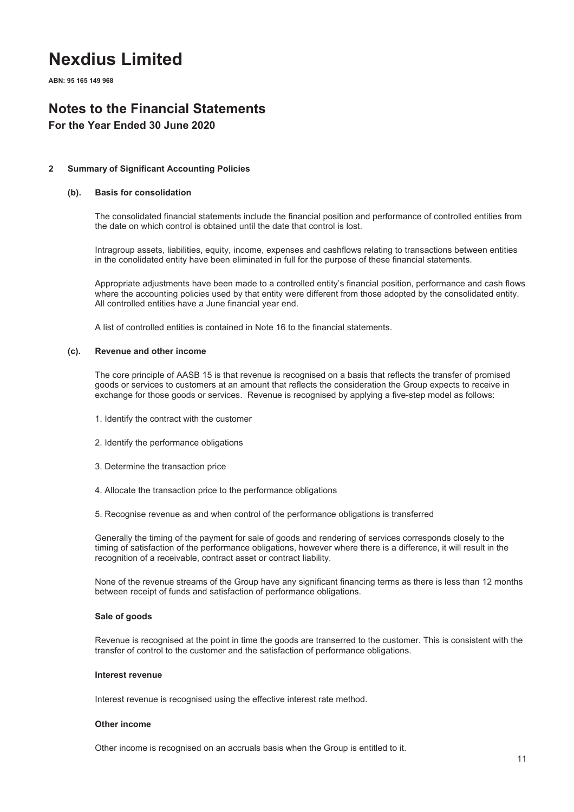**ABN: 95 165 149 968**

### **Notes to the Financial Statements**

### **For the Year Ended 30 June 2020**

#### **2 Summary of Significant Accounting Policies**

#### **(b). Basis for consolidation**

The consolidated financial statements include the financial position and performance of controlled entities from the date on which control is obtained until the date that control is lost.

Intragroup assets, liabilities, equity, income, expenses and cashflows relating to transactions between entities in the conolidated entity have been eliminated in full for the purpose of these financial statements.

Appropriate adjustments have been made to a controlled entity's financial position, performance and cash flows where the accounting policies used by that entity were different from those adopted by the consolidated entity. All controlled entities have a June financial year end.

A list of controlled entities is contained in Note 16 to the financial statements.

#### **(c). Revenue and other income**

The core principle of AASB 15 is that revenue is recognised on a basis that reflects the transfer of promised goods or services to customers at an amount that reflects the consideration the Group expects to receive in exchange for those goods or services. Revenue is recognised by applying a five-step model as follows:

- 1. Identify the contract with the customer
- 2. Identify the performance obligations
- 3. Determine the transaction price
- 4. Allocate the transaction price to the performance obligations
- 5. Recognise revenue as and when control of the performance obligations is transferred

Generally the timing of the payment for sale of goods and rendering of services corresponds closely to the timing of satisfaction of the performance obligations, however where there is a difference, it will result in the recognition of a receivable, contract asset or contract liability.

None of the revenue streams of the Group have any significant financing terms as there is less than 12 months between receipt of funds and satisfaction of performance obligations.

#### **Sale of goods**

Revenue is recognised at the point in time the goods are transerred to the customer. This is consistent with the transfer of control to the customer and the satisfaction of performance obligations.

#### **Interest revenue**

Interest revenue is recognised using the effective interest rate method.

#### **Other income**

Other income is recognised on an accruals basis when the Group is entitled to it.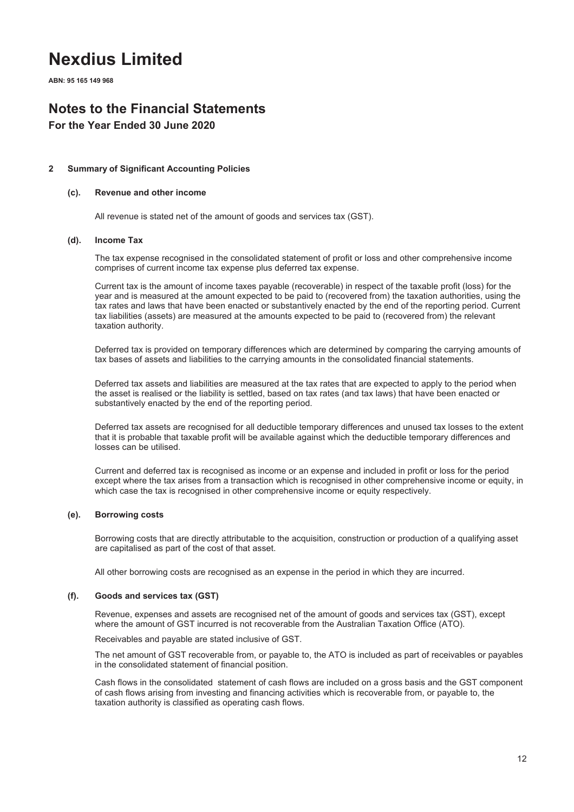**ABN: 95 165 149 968**

### **Notes to the Financial Statements**

### **For the Year Ended 30 June 2020**

#### **2 Summary of Significant Accounting Policies**

#### **(c). Revenue and other income**

All revenue is stated net of the amount of goods and services tax (GST).

#### **(d). Income Tax**

The tax expense recognised in the consolidated statement of profit or loss and other comprehensive income comprises of current income tax expense plus deferred tax expense.

Current tax is the amount of income taxes payable (recoverable) in respect of the taxable profit (loss) for the year and is measured at the amount expected to be paid to (recovered from) the taxation authorities, using the tax rates and laws that have been enacted or substantively enacted by the end of the reporting period. Current tax liabilities (assets) are measured at the amounts expected to be paid to (recovered from) the relevant taxation authority.

Deferred tax is provided on temporary differences which are determined by comparing the carrying amounts of tax bases of assets and liabilities to the carrying amounts in the consolidated financial statements.

Deferred tax assets and liabilities are measured at the tax rates that are expected to apply to the period when the asset is realised or the liability is settled, based on tax rates (and tax laws) that have been enacted or substantively enacted by the end of the reporting period.

Deferred tax assets are recognised for all deductible temporary differences and unused tax losses to the extent that it is probable that taxable profit will be available against which the deductible temporary differences and losses can be utilised.

Current and deferred tax is recognised as income or an expense and included in profit or loss for the period except where the tax arises from a transaction which is recognised in other comprehensive income or equity, in which case the tax is recognised in other comprehensive income or equity respectively.

#### **(e). Borrowing costs**

Borrowing costs that are directly attributable to the acquisition, construction or production of a qualifying asset are capitalised as part of the cost of that asset.

All other borrowing costs are recognised as an expense in the period in which they are incurred.

#### **(f). Goods and services tax (GST)**

Revenue, expenses and assets are recognised net of the amount of goods and services tax (GST), except where the amount of GST incurred is not recoverable from the Australian Taxation Office (ATO).

Receivables and payable are stated inclusive of GST.

The net amount of GST recoverable from, or payable to, the ATO is included as part of receivables or payables in the consolidated statement of financial position.

Cash flows in the consolidated statement of cash flows are included on a gross basis and the GST component of cash flows arising from investing and financing activities which is recoverable from, or payable to, the taxation authority is classified as operating cash flows.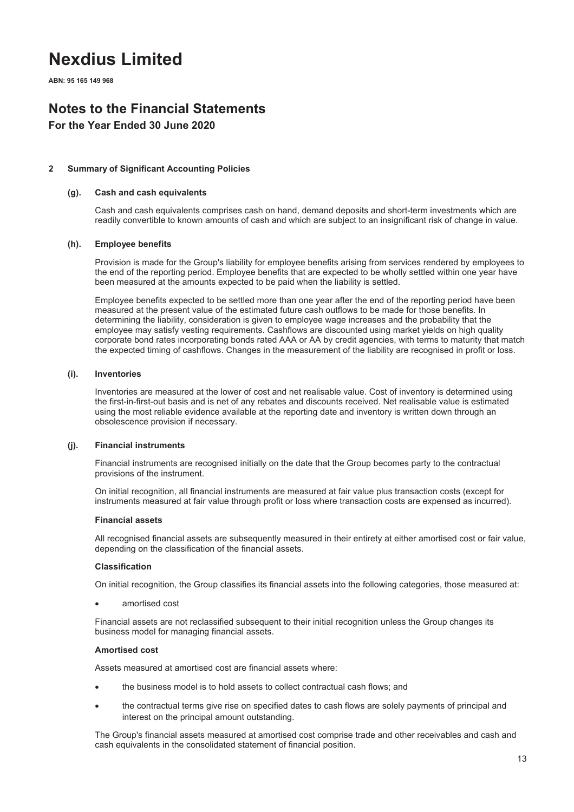**ABN: 95 165 149 968**

### **Notes to the Financial Statements**

### **For the Year Ended 30 June 2020**

#### **2 Summary of Significant Accounting Policies**

#### **(g). Cash and cash equivalents**

Cash and cash equivalents comprises cash on hand, demand deposits and short-term investments which are readily convertible to known amounts of cash and which are subject to an insignificant risk of change in value.

#### **(h). Employee benefits**

Provision is made for the Group's liability for employee benefits arising from services rendered by employees to the end of the reporting period. Employee benefits that are expected to be wholly settled within one year have been measured at the amounts expected to be paid when the liability is settled.

Employee benefits expected to be settled more than one year after the end of the reporting period have been measured at the present value of the estimated future cash outflows to be made for those benefits. In determining the liability, consideration is given to employee wage increases and the probability that the employee may satisfy vesting requirements. Cashflows are discounted using market yields on high quality corporate bond rates incorporating bonds rated AAA or AA by credit agencies, with terms to maturity that match the expected timing of cashflows. Changes in the measurement of the liability are recognised in profit or loss.

#### **(i). Inventories**

Inventories are measured at the lower of cost and net realisable value. Cost of inventory is determined using the first-in-first-out basis and is net of any rebates and discounts received. Net realisable value is estimated using the most reliable evidence available at the reporting date and inventory is written down through an obsolescence provision if necessary.

#### **(j). Financial instruments**

Financial instruments are recognised initially on the date that the Group becomes party to the contractual provisions of the instrument.

On initial recognition, all financial instruments are measured at fair value plus transaction costs (except for instruments measured at fair value through profit or loss where transaction costs are expensed as incurred).

#### **Financial assets**

All recognised financial assets are subsequently measured in their entirety at either amortised cost or fair value, depending on the classification of the financial assets.

#### **Classification**

On initial recognition, the Group classifies its financial assets into the following categories, those measured at:

amortised cost

Financial assets are not reclassified subsequent to their initial recognition unless the Group changes its business model for managing financial assets.

#### **Amortised cost**

Assets measured at amortised cost are financial assets where:

- the business model is to hold assets to collect contractual cash flows; and
- the contractual terms give rise on specified dates to cash flows are solely payments of principal and interest on the principal amount outstanding.

The Group's financial assets measured at amortised cost comprise trade and other receivables and cash and cash equivalents in the consolidated statement of financial position.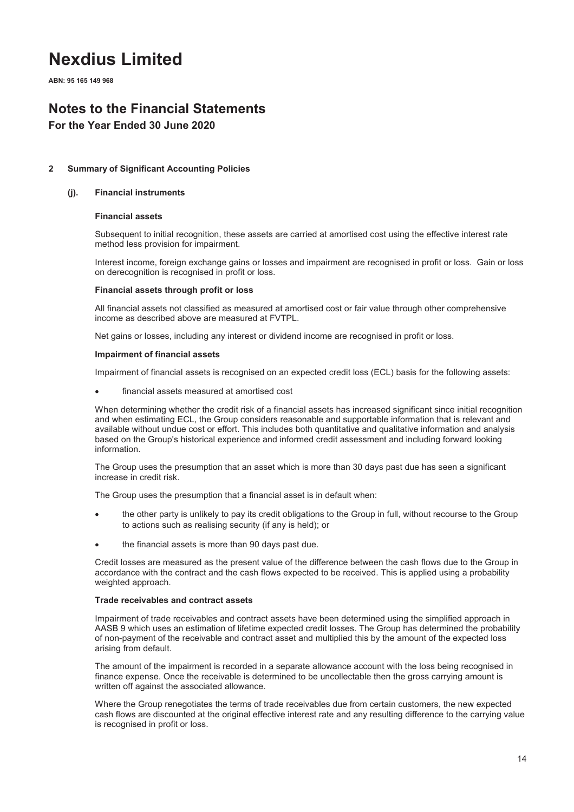**ABN: 95 165 149 968**

### **Notes to the Financial Statements**

### **For the Year Ended 30 June 2020**

#### **2 Summary of Significant Accounting Policies**

#### **(j). Financial instruments**

#### **Financial assets**

Subsequent to initial recognition, these assets are carried at amortised cost using the effective interest rate method less provision for impairment.

Interest income, foreign exchange gains or losses and impairment are recognised in profit or loss. Gain or loss on derecognition is recognised in profit or loss.

#### **Financial assets through profit or loss**

All financial assets not classified as measured at amortised cost or fair value through other comprehensive income as described above are measured at FVTPL.

Net gains or losses, including any interest or dividend income are recognised in profit or loss.

#### **Impairment of financial assets**

Impairment of financial assets is recognised on an expected credit loss (ECL) basis for the following assets:

financial assets measured at amortised cost

When determining whether the credit risk of a financial assets has increased significant since initial recognition and when estimating ECL, the Group considers reasonable and supportable information that is relevant and available without undue cost or effort. This includes both quantitative and qualitative information and analysis based on the Group's historical experience and informed credit assessment and including forward looking information.

The Group uses the presumption that an asset which is more than 30 days past due has seen a significant increase in credit risk.

The Group uses the presumption that a financial asset is in default when:

- the other party is unlikely to pay its credit obligations to the Group in full, without recourse to the Group to actions such as realising security (if any is held); or
- the financial assets is more than 90 days past due.

Credit losses are measured as the present value of the difference between the cash flows due to the Group in accordance with the contract and the cash flows expected to be received. This is applied using a probability weighted approach.

#### **Trade receivables and contract assets**

Impairment of trade receivables and contract assets have been determined using the simplified approach in AASB 9 which uses an estimation of lifetime expected credit losses. The Group has determined the probability of non-payment of the receivable and contract asset and multiplied this by the amount of the expected loss arising from default.

The amount of the impairment is recorded in a separate allowance account with the loss being recognised in finance expense. Once the receivable is determined to be uncollectable then the gross carrying amount is written off against the associated allowance.

Where the Group renegotiates the terms of trade receivables due from certain customers, the new expected cash flows are discounted at the original effective interest rate and any resulting difference to the carrying value is recognised in profit or loss.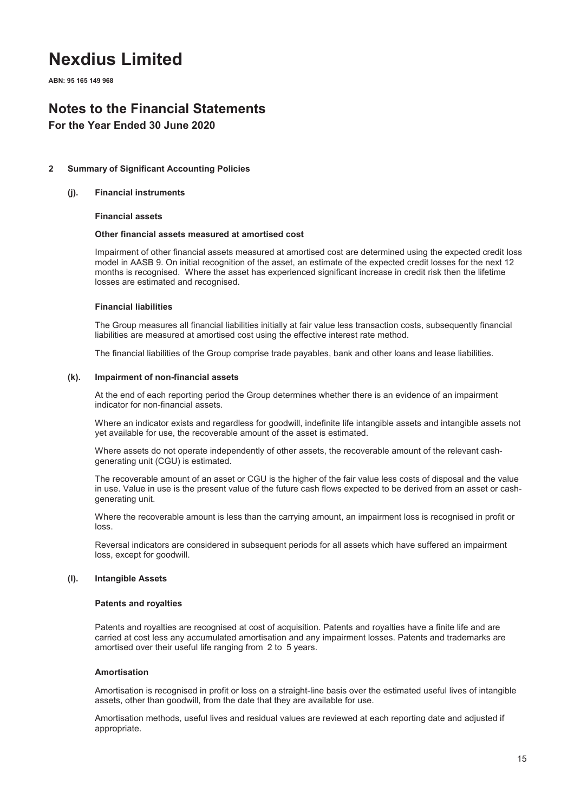**ABN: 95 165 149 968**

### **Notes to the Financial Statements**

### **For the Year Ended 30 June 2020**

#### **2 Summary of Significant Accounting Policies**

#### **(j). Financial instruments**

#### **Financial assets**

#### **Other financial assets measured at amortised cost**

Impairment of other financial assets measured at amortised cost are determined using the expected credit loss model in AASB 9. On initial recognition of the asset, an estimate of the expected credit losses for the next 12 months is recognised. Where the asset has experienced significant increase in credit risk then the lifetime losses are estimated and recognised.

#### **Financial liabilities**

The Group measures all financial liabilities initially at fair value less transaction costs, subsequently financial liabilities are measured at amortised cost using the effective interest rate method.

The financial liabilities of the Group comprise trade payables, bank and other loans and lease liabilities.

#### **(k). Impairment of non-financial assets**

At the end of each reporting period the Group determines whether there is an evidence of an impairment indicator for non-financial assets.

Where an indicator exists and regardless for goodwill, indefinite life intangible assets and intangible assets not yet available for use, the recoverable amount of the asset is estimated.

Where assets do not operate independently of other assets, the recoverable amount of the relevant cashgenerating unit (CGU) is estimated.

The recoverable amount of an asset or CGU is the higher of the fair value less costs of disposal and the value in use. Value in use is the present value of the future cash flows expected to be derived from an asset or cashgenerating unit.

Where the recoverable amount is less than the carrying amount, an impairment loss is recognised in profit or loss.

Reversal indicators are considered in subsequent periods for all assets which have suffered an impairment loss, except for goodwill.

#### **(l). Intangible Assets**

#### **Patents and royalties**

Patents and royalties are recognised at cost of acquisition. Patents and royalties have a finite life and are carried at cost less any accumulated amortisation and any impairment losses. Patents and trademarks are amortised over their useful life ranging from 2 to 5 years.

#### **Amortisation**

Amortisation is recognised in profit or loss on a straight-line basis over the estimated useful lives of intangible assets, other than goodwill, from the date that they are available for use.

Amortisation methods, useful lives and residual values are reviewed at each reporting date and adjusted if appropriate.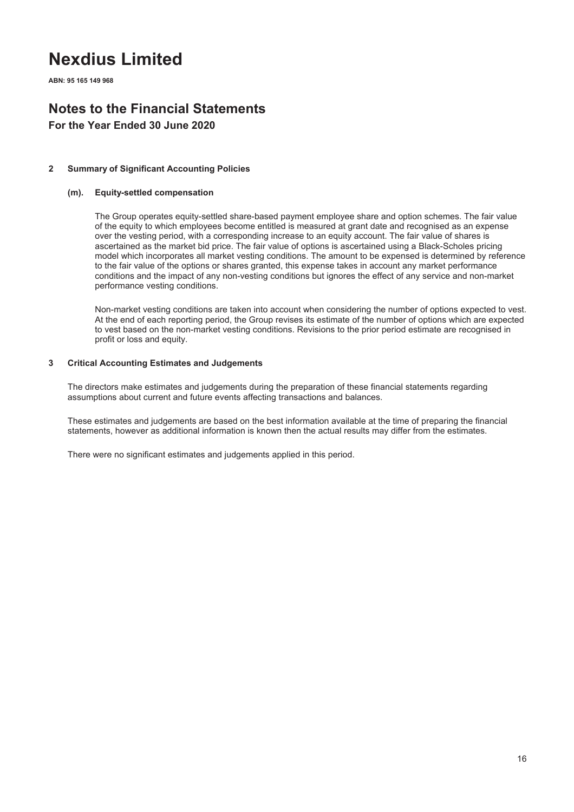**ABN: 95 165 149 968**

## **Notes to the Financial Statements**

**For the Year Ended 30 June 2020**

#### **2 Summary of Significant Accounting Policies**

#### **(m). Equity-settled compensation**

The Group operates equity-settled share-based payment employee share and option schemes. The fair value of the equity to which employees become entitled is measured at grant date and recognised as an expense over the vesting period, with a corresponding increase to an equity account. The fair value of shares is ascertained as the market bid price. The fair value of options is ascertained using a Black-Scholes pricing model which incorporates all market vesting conditions. The amount to be expensed is determined by reference to the fair value of the options or shares granted, this expense takes in account any market performance conditions and the impact of any non-vesting conditions but ignores the effect of any service and non-market performance vesting conditions.

Non-market vesting conditions are taken into account when considering the number of options expected to vest. At the end of each reporting period, the Group revises its estimate of the number of options which are expected to vest based on the non-market vesting conditions. Revisions to the prior period estimate are recognised in profit or loss and equity.

#### **3 Critical Accounting Estimates and Judgements**

The directors make estimates and judgements during the preparation of these financial statements regarding assumptions about current and future events affecting transactions and balances.

These estimates and judgements are based on the best information available at the time of preparing the financial statements, however as additional information is known then the actual results may differ from the estimates.

There were no significant estimates and judgements applied in this period.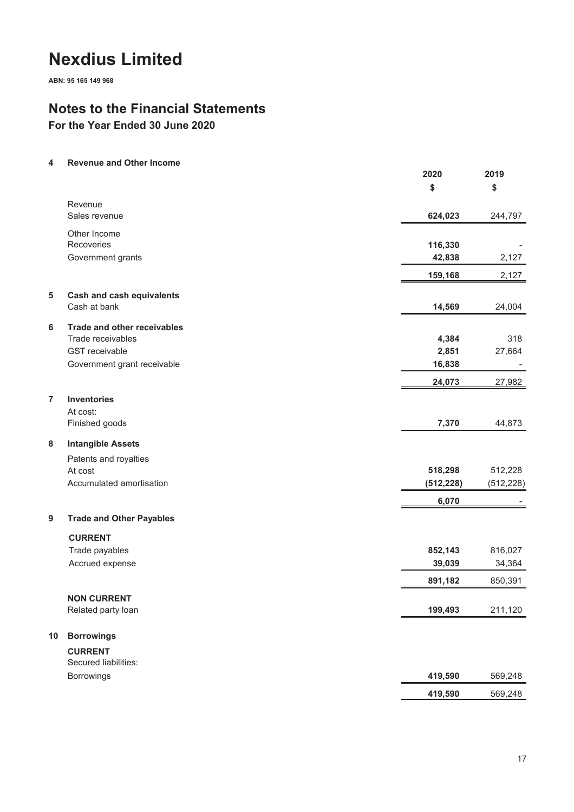**ABN: 95 165 149 968**

### **Notes to the Financial Statements**

**For the Year Ended 30 June 2020**

#### **4 Revenue and Other Income**

|                |                                 | 2020       | 2019       |
|----------------|---------------------------------|------------|------------|
|                |                                 | \$         | \$         |
|                | Revenue                         |            |            |
|                | Sales revenue                   | 624,023    | 244,797    |
|                | Other Income                    |            |            |
|                | Recoveries                      | 116,330    |            |
|                | Government grants               | 42,838     | 2,127      |
|                |                                 | 159,168    | 2,127      |
| 5              | Cash and cash equivalents       |            |            |
|                | Cash at bank                    | 14,569     | 24,004     |
| 6              | Trade and other receivables     |            |            |
|                | Trade receivables               | 4,384      | 318        |
|                | <b>GST</b> receivable           | 2,851      | 27,664     |
|                | Government grant receivable     | 16,838     |            |
|                |                                 | 24,073     | 27,982     |
| $\overline{7}$ | <b>Inventories</b>              |            |            |
|                | At cost:                        |            |            |
|                | Finished goods                  | 7,370      | 44,873     |
| 8              | <b>Intangible Assets</b>        |            |            |
|                | Patents and royalties           |            |            |
|                | At cost                         | 518,298    | 512,228    |
|                | Accumulated amortisation        | (512, 228) | (512, 228) |
|                |                                 | 6,070      |            |
| 9              | <b>Trade and Other Payables</b> |            |            |
|                | <b>CURRENT</b>                  |            |            |
|                | Trade payables                  | 852,143    | 816,027    |
|                | Accrued expense                 | 39,039     | 34,364     |
|                |                                 | 891,182    | 850,391    |
|                | <b>NON CURRENT</b>              |            |            |
|                | Related party loan              | 199,493    | 211,120    |
| 10             | <b>Borrowings</b>               |            |            |
|                | <b>CURRENT</b>                  |            |            |
|                | Secured liabilities:            |            |            |
|                | Borrowings                      | 419,590    | 569,248    |
|                |                                 | 419,590    | 569,248    |
|                |                                 |            |            |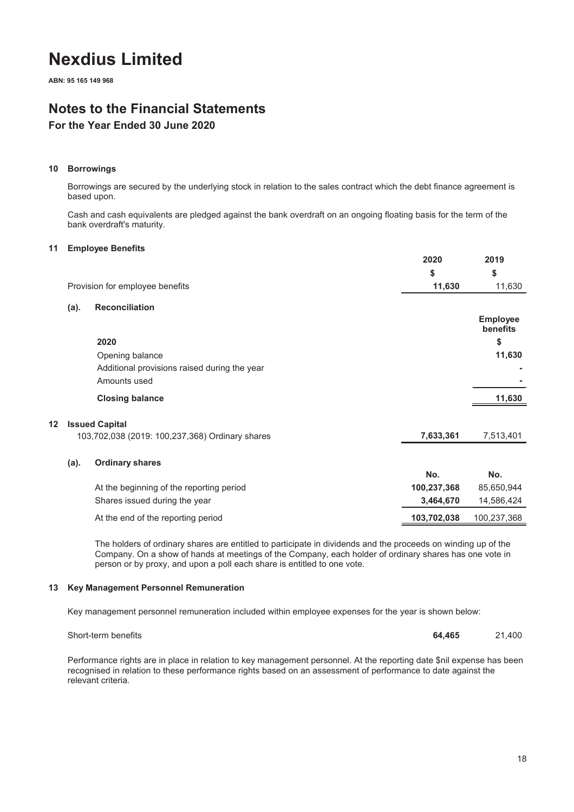**ABN: 95 165 149 968**

### **Notes to the Financial Statements**

### **For the Year Ended 30 June 2020**

#### **10 Borrowings**

Borrowings are secured by the underlying stock in relation to the sales contract which the debt finance agreement is based upon.

Cash and cash equivalents are pledged against the bank overdraft on an ongoing floating basis for the term of the bank overdraft's maturity.

#### **11 Employee Benefits**

**12 Issued Capital**

|                                                 | 2020        | 2019                        |
|-------------------------------------------------|-------------|-----------------------------|
|                                                 | \$          | \$                          |
| Provision for employee benefits                 | 11,630      | 11,630                      |
| <b>Reconciliation</b><br>(a).                   |             |                             |
|                                                 |             | <b>Employee</b><br>benefits |
| 2020                                            |             | \$                          |
| Opening balance                                 |             | 11,630                      |
| Additional provisions raised during the year    |             |                             |
| Amounts used                                    |             |                             |
| <b>Closing balance</b>                          |             | 11,630                      |
| <b>Issued Capital</b>                           |             |                             |
| 103,702,038 (2019: 100,237,368) Ordinary shares | 7,633,361   | 7,513,401                   |
|                                                 |             |                             |
| <b>Ordinary shares</b><br>(a).                  | No.         | No.                         |
|                                                 |             |                             |
| At the beginning of the reporting period        | 100,237,368 | 85,650,944                  |
| Shares issued during the year                   | 3,464,670   | 14,586,424                  |
| At the end of the reporting period              | 103,702,038 | 100,237,368                 |

The holders of ordinary shares are entitled to participate in dividends and the proceeds on winding up of the Company. On a show of hands at meetings of the Company, each holder of ordinary shares has one vote in person or by proxy, and upon a poll each share is entitled to one vote.

#### **13 Key Management Personnel Remuneration**

Key management personnel remuneration included within employee expenses for the year is shown below:

Short-term benefits **64,465** 21,400

Performance rights are in place in relation to key management personnel. At the reporting date \$nil expense has been recognised in relation to these performance rights based on an assessment of performance to date against the relevant criteria.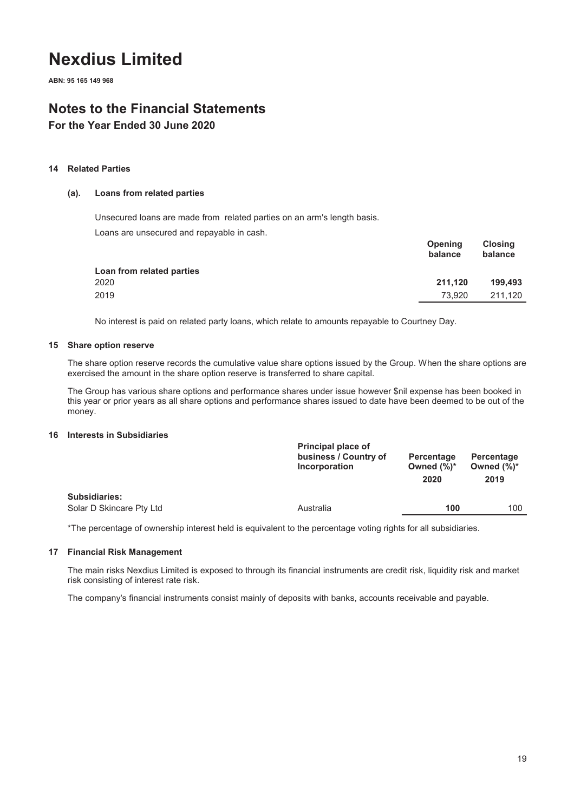**ABN: 95 165 149 968**

### **Notes to the Financial Statements**

**For the Year Ended 30 June 2020**

#### **14 Related Parties**

#### **(a). Loans from related parties**

Unsecured loans are made from related parties on an arm's length basis.

Loans are unsecured and repayable in cash.

|                           | balance | balance |
|---------------------------|---------|---------|
| Loan from related parties |         |         |
| 2020                      | 211.120 | 199.493 |
| 2019                      | 73.920  | 211.120 |
|                           |         |         |

**Opening**

**Closing**

No interest is paid on related party loans, which relate to amounts repayable to Courtney Day.

#### **15 Share option reserve**

The share option reserve records the cumulative value share options issued by the Group. When the share options are exercised the amount in the share option reserve is transferred to share capital.

The Group has various share options and performance shares under issue however \$nil expense has been booked in this year or prior years as all share options and performance shares issued to date have been deemed to be out of the money.

#### **16 Interests in Subsidiaries**

| business / Country of<br>Percentage<br>Percentage<br>Owned $(\%)^*$<br>Incorporation<br>2020 | Owned $(\%)^*$<br>2019 |
|----------------------------------------------------------------------------------------------|------------------------|
| <b>Subsidiaries:</b>                                                                         |                        |
| Solar D Skincare Pty Ltd<br>Australia<br>100                                                 | 100                    |

\*The percentage of ownership interest held is equivalent to the percentage voting rights for all subsidiaries.

#### **17 Financial Risk Management**

The main risks Nexdius Limited is exposed to through its financial instruments are credit risk, liquidity risk and market risk consisting of interest rate risk.

The company's financial instruments consist mainly of deposits with banks, accounts receivable and payable.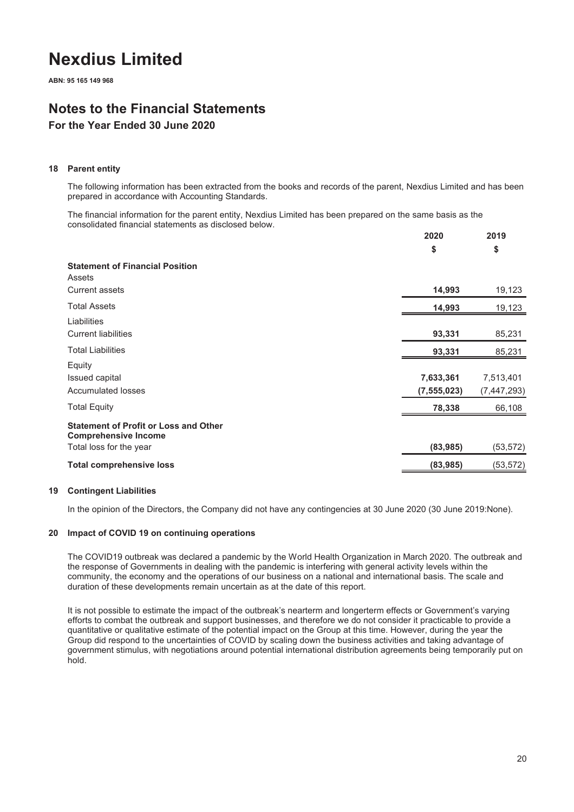**ABN: 95 165 149 968**

## **Notes to the Financial Statements**

### **For the Year Ended 30 June 2020**

#### **18 Parent entity**

The following information has been extracted from the books and records of the parent, Nexdius Limited and has been prepared in accordance with Accounting Standards.

The financial information for the parent entity, Nexdius Limited has been prepared on the same basis as the consolidated financial statements as disclosed below.

| \$<br>\$<br><b>Statement of Financial Position</b><br>Assets<br>14,993<br>19,123<br><b>Current assets</b><br><b>Total Assets</b><br>19,123<br>14,993<br>Liabilities<br>85,231<br><b>Current liabilities</b><br>93,331<br><b>Total Liabilities</b><br>85,231<br>93,331<br>Equity<br>7,633,361<br>7,513,401<br>Issued capital<br><b>Accumulated losses</b><br>(7, 447, 293)<br>(7, 555, 023)<br><b>Total Equity</b><br>66,108<br>78,338<br><b>Statement of Profit or Loss and Other</b><br><b>Comprehensive Income</b><br>(53, 572)<br>(83, 985)<br>Total loss for the year<br><b>Total comprehensive loss</b><br>(83, 985)<br>(53, 572) | 2020 | 2019 |
|----------------------------------------------------------------------------------------------------------------------------------------------------------------------------------------------------------------------------------------------------------------------------------------------------------------------------------------------------------------------------------------------------------------------------------------------------------------------------------------------------------------------------------------------------------------------------------------------------------------------------------------|------|------|
|                                                                                                                                                                                                                                                                                                                                                                                                                                                                                                                                                                                                                                        |      |      |
|                                                                                                                                                                                                                                                                                                                                                                                                                                                                                                                                                                                                                                        |      |      |
|                                                                                                                                                                                                                                                                                                                                                                                                                                                                                                                                                                                                                                        |      |      |
|                                                                                                                                                                                                                                                                                                                                                                                                                                                                                                                                                                                                                                        |      |      |
|                                                                                                                                                                                                                                                                                                                                                                                                                                                                                                                                                                                                                                        |      |      |
|                                                                                                                                                                                                                                                                                                                                                                                                                                                                                                                                                                                                                                        |      |      |
|                                                                                                                                                                                                                                                                                                                                                                                                                                                                                                                                                                                                                                        |      |      |
|                                                                                                                                                                                                                                                                                                                                                                                                                                                                                                                                                                                                                                        |      |      |
|                                                                                                                                                                                                                                                                                                                                                                                                                                                                                                                                                                                                                                        |      |      |
|                                                                                                                                                                                                                                                                                                                                                                                                                                                                                                                                                                                                                                        |      |      |

#### **19 Contingent Liabilities**

In the opinion of the Directors, the Company did not have any contingencies at 30 June 2020 (30 June 2019:None).

#### **20 Impact of COVID 19 on continuing operations**

The COVID19 outbreak was declared a pandemic by the World Health Organization in March 2020. The outbreak and the response of Governments in dealing with the pandemic is interfering with general activity levels within the community, the economy and the operations of our business on a national and international basis. The scale and duration of these developments remain uncertain as at the date of this report.

It is not possible to estimate the impact of the outbreak's nearterm and longerterm effects or Government's varying efforts to combat the outbreak and support businesses, and therefore we do not consider it practicable to provide a quantitative or qualitative estimate of the potential impact on the Group at this time. However, during the year the Group did respond to the uncertainties of COVID by scaling down the business activities and taking advantage of government stimulus, with negotiations around potential international distribution agreements being temporarily put on hold.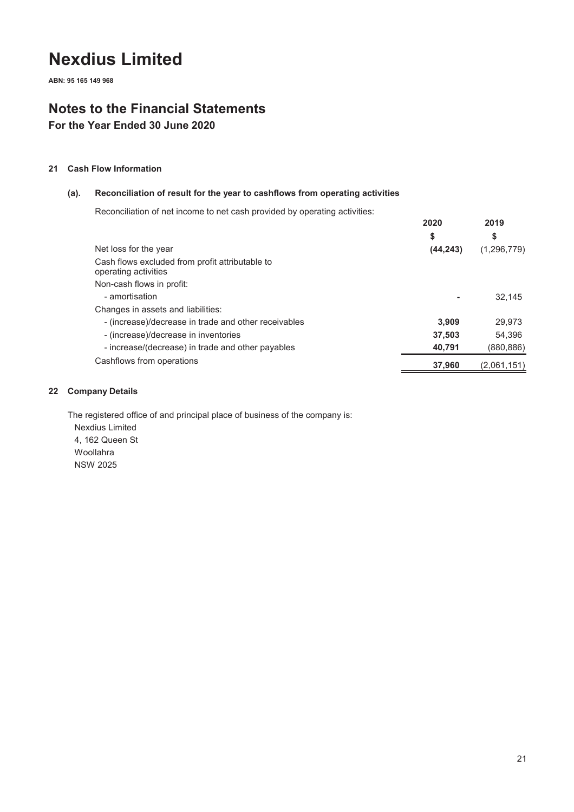**ABN: 95 165 149 968**

### **Notes to the Financial Statements**

**For the Year Ended 30 June 2020**

### **21 Cash Flow Information**

### **(a). Reconciliation of result for the year to cashflows from operating activities**

Reconciliation of net income to net cash provided by operating activities:

|                                                                         | 2020      | 2019        |
|-------------------------------------------------------------------------|-----------|-------------|
|                                                                         | \$        | \$          |
| Net loss for the year                                                   | (44, 243) | (1,296,779) |
| Cash flows excluded from profit attributable to<br>operating activities |           |             |
| Non-cash flows in profit:                                               |           |             |
| - amortisation                                                          |           | 32.145      |
| Changes in assets and liabilities:                                      |           |             |
| - (increase)/decrease in trade and other receivables                    | 3.909     | 29,973      |
| - (increase)/decrease in inventories                                    | 37,503    | 54.396      |
| - increase/(decrease) in trade and other payables                       | 40,791    | (880,886)   |
| Cashflows from operations                                               | 37.960    | (2,061,151) |

#### **22 Company Details**

The registered office of and principal place of business of the company is: Nexdius Limited 4, 162 Queen St Woollahra NSW 2025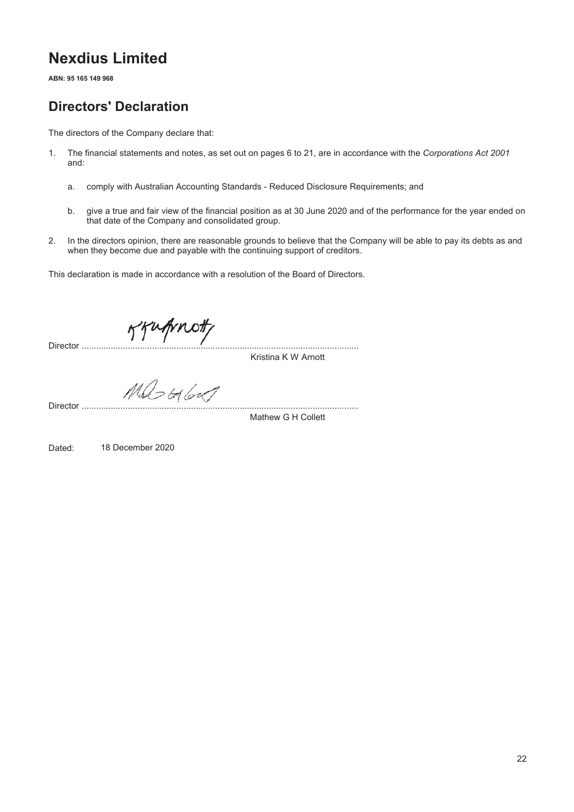**ABN: 95 165 149 968**

### **Directors' Declaration**

The directors of the Company declare that:

- 1. The financial statements and notes, as set out on pages 6 to 21, are in accordance with the *Corporations Act 2001* and:
	- a. comply with Australian Accounting Standards Reduced Disclosure Requirements; and
	- b. give a true and fair view of the financial position as at 30 June 2020 and of the performance for the year ended on that date of the Company and consolidated group.
- 2. In the directors opinion, there are reasonable grounds to believe that the Company will be able to pay its debts as and when they become due and payable with the continuing support of creditors.

This declaration is made in accordance with a resolution of the Board of Directors.

Director ..................................................................................................................

Kristina K W Arnott

Director ..................................................................................................................

Mathew G H Collett

Dated: 18 December 2020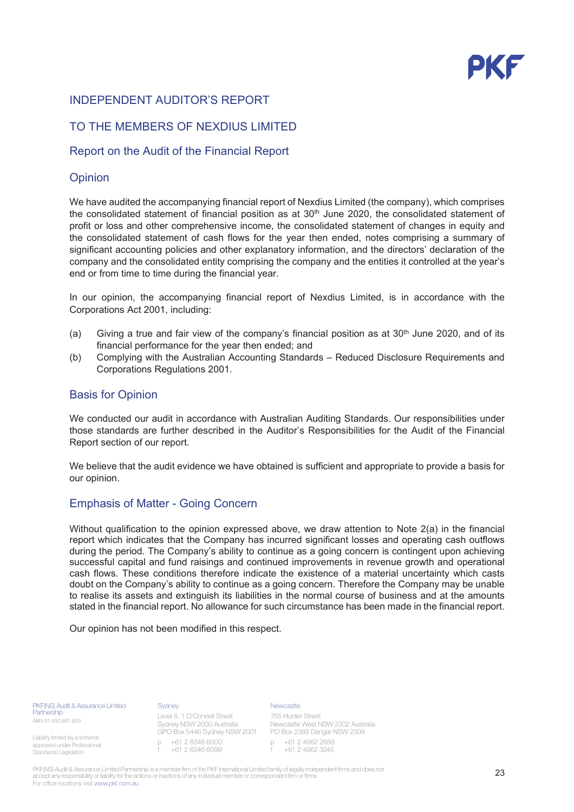### INDEPENDENT AUDITOR'S REPORT

### TO THE MEMBERS OF NEXDIUS LIMITED

### Report on the Audit of the Financial Report

### Opinion

We have audited the accompanying financial report of Nexdius Limited (the company), which comprises the consolidated statement of financial position as at  $30<sup>th</sup>$  June 2020, the consolidated statement of profit or loss and other comprehensive income, the consolidated statement of changes in equity and the consolidated statement of cash flows for the year then ended, notes comprising a summary of significant accounting policies and other explanatory information, and the directors' declaration of the company and the consolidated entity comprising the company and the entities it controlled at the year's end or from time to time during the financial year.

In our opinion, the accompanying financial report of Nexdius Limited, is in accordance with the Corporations Act 2001, including:

- (a) Giving a true and fair view of the company's financial position as at  $30<sup>th</sup>$  June 2020, and of its financial performance for the year then ended; and
- (b) Complying with the Australian Accounting Standards Reduced Disclosure Requirements and Corporations Regulations 2001.

### **Basis for Opinion**

We conducted our audit in accordance with Australian Auditing Standards. Our responsibilities under those standards are further described in the Auditor's Responsibilities for the Audit of the Financial Report section of our report.

We believe that the audit evidence we have obtained is sufficient and appropriate to provide a basis for our opinion.

### Emphasis of Matter - Going Concern

Without qualification to the opinion expressed above, we draw attention to Note 2(a) in the financial report which indicates that the Company has incurred significant losses and operating cash outflows during the period. The Company's ability to continue as a going concern is contingent upon achieving successful capital and fund raisings and continued improvements in revenue growth and operational cash flows. These conditions therefore indicate the existence of a material uncertainty which casts doubt on the Company's ability to continue as a going concern. Therefore the Company may be unable to realise its assets and extinguish its liabilities in the normal course of business and at the amounts stated in the financial report. No allowance for such circumstance has been made in the financial report.

Our opinion has not been modified in this respect.

PKF(NS) Audit & Assurance Limited artnershin ABN 91 850 861 839

Liability limited by a scheme approved under Professional Standards Legislation

#### **Sydney**

Level 8, 1 O'Connell Street Sydney NSW 2000 Australia p +61 2 8346 6000 f +61 2 8346 6099

**Newcastle** 

GPO Box 5446 Sydney NSW 2001 PO Box 2368 Dangar NSW 2309 755 Hunter Street Newcastle West NSW 2302 Australia

p +61 2 4962 2688 f +61 2 4962 3245

PKF(NS) Audit & Assurance Limited Partnership is a member firm of the PKF International Limited family of legally independent firms and does not accept any responsibility or liability for the actions or inactions of any individual member or correspondent firm or firms. For office locations visit www.pkf.com.au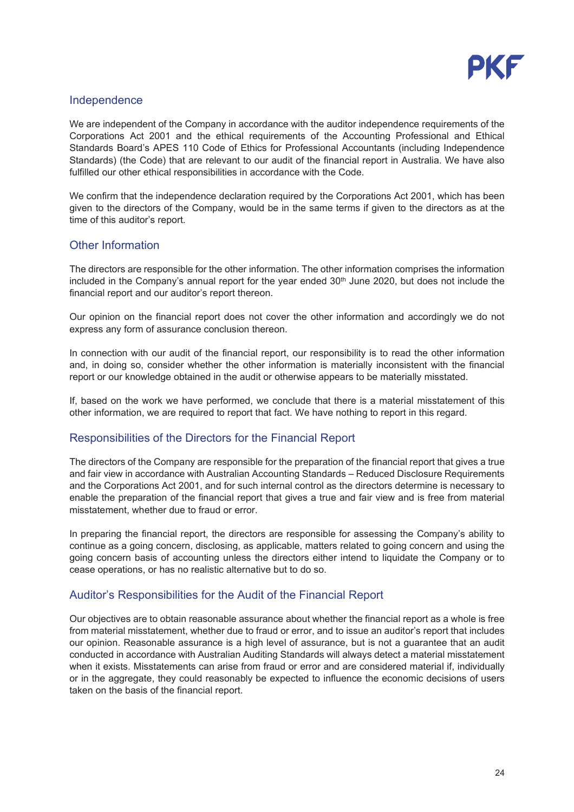

### Independence

We are independent of the Company in accordance with the auditor independence requirements of the Corporations Act 2001 and the ethical requirements of the Accounting Professional and Ethical Standards Board's APES 110 Code of Ethics for Professional Accountants (including Independence Standards) (the Code) that are relevant to our audit of the financial report in Australia. We have also fulfilled our other ethical responsibilities in accordance with the Code.

We confirm that the independence declaration required by the Corporations Act 2001, which has been given to the directors of the Company, would be in the same terms if given to the directors as at the time of this auditor's report.

### Other Information

The directors are responsible for the other information. The other information comprises the information included in the Company's annual report for the year ended  $30<sup>th</sup>$  June 2020, but does not include the financial report and our auditor's report thereon.

Our opinion on the financial report does not cover the other information and accordingly we do not express any form of assurance conclusion thereon.

In connection with our audit of the financial report, our responsibility is to read the other information and, in doing so, consider whether the other information is materially inconsistent with the financial report or our knowledge obtained in the audit or otherwise appears to be materially misstated.

If, based on the work we have performed, we conclude that there is a material misstatement of this other information, we are required to report that fact. We have nothing to report in this regard.

### Responsibilities of the Directors for the Financial Report

The directors of the Company are responsible for the preparation of the financial report that gives a true and fair view in accordance with Australian Accounting Standards - Reduced Disclosure Requirements and the Corporations Act 2001, and for such internal control as the directors determine is necessary to enable the preparation of the financial report that gives a true and fair view and is free from material misstatement, whether due to fraud or error.

In preparing the financial report, the directors are responsible for assessing the Company's ability to continue as a going concern, disclosing, as applicable, matters related to going concern and using the going concern basis of accounting unless the directors either intend to liguidate the Company or to cease operations, or has no realistic alternative but to do so.

### Auditor's Responsibilities for the Audit of the Financial Report

Our objectives are to obtain reasonable assurance about whether the financial report as a whole is free from material misstatement, whether due to fraud or error, and to issue an auditor's report that includes our opinion. Reasonable assurance is a high level of assurance, but is not a guarantee that an audit conducted in accordance with Australian Auditing Standards will always detect a material misstatement when it exists. Misstatements can arise from fraud or error and are considered material if, individually or in the aggregate, they could reasonably be expected to influence the economic decisions of users taken on the basis of the financial report.